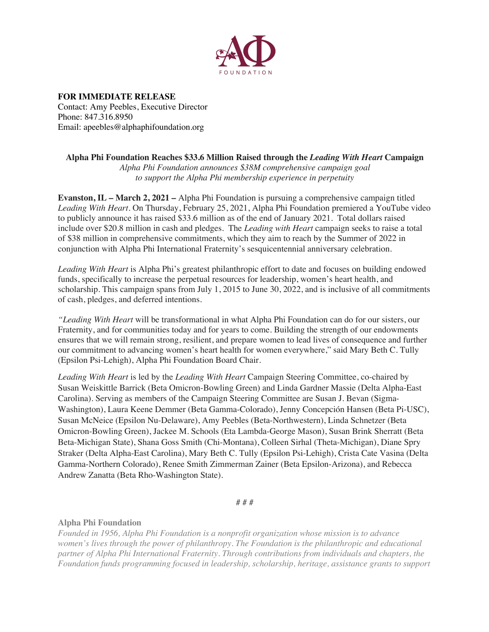

**FOR IMMEDIATE RELEASE** Contact: Amy Peebles, Executive Director Phone: 847.316.8950 Email: apeebles@alphaphifoundation.org

**Alpha Phi Foundation Reaches \$33.6 Million Raised through the** *Leading With Heart* **Campaign** *Alpha Phi Foundation announces \$38M comprehensive campaign goal to support the Alpha Phi membership experience in perpetuity*

**Evanston, IL – March 2, 2021 –** Alpha Phi Foundation is pursuing a comprehensive campaign titled *Leading With Heart*. On Thursday, February 25, 2021, Alpha Phi Foundation premiered a YouTube video to publicly announce it has raised \$33.6 million as of the end of January 2021. Total dollars raised include over \$20.8 million in cash and pledges. The *Leading with Heart* campaign seeks to raise a total of \$38 million in comprehensive commitments, which they aim to reach by the Summer of 2022 in conjunction with Alpha Phi International Fraternity's sesquicentennial anniversary celebration.

*Leading With Heart* is Alpha Phi's greatest philanthropic effort to date and focuses on building endowed funds, specifically to increase the perpetual resources for leadership, women's heart health, and scholarship. This campaign spans from July 1, 2015 to June 30, 2022, and is inclusive of all commitments of cash, pledges, and deferred intentions.

*"Leading With Heart* will be transformational in what Alpha Phi Foundation can do for our sisters, our Fraternity, and for communities today and for years to come. Building the strength of our endowments ensures that we will remain strong, resilient, and prepare women to lead lives of consequence and further our commitment to advancing women's heart health for women everywhere," said Mary Beth C. Tully (Epsilon Psi-Lehigh), Alpha Phi Foundation Board Chair.

*Leading With Heart* is led by the *Leading With Heart* Campaign Steering Committee, co-chaired by Susan Weiskittle Barrick (Beta Omicron-Bowling Green) and Linda Gardner Massie (Delta Alpha-East Carolina). Serving as members of the Campaign Steering Committee are Susan J. Bevan (Sigma-Washington), Laura Keene Demmer (Beta Gamma-Colorado), Jenny Concepción Hansen (Beta Pi-USC), Susan McNeice (Epsilon Nu-Delaware), Amy Peebles (Beta-Northwestern), Linda Schnetzer (Beta Omicron-Bowling Green), Jackee M. Schools (Eta Lambda-George Mason), Susan Brink Sherratt (Beta Beta-Michigan State), Shana Goss Smith (Chi-Montana), Colleen Sirhal (Theta-Michigan), Diane Spry Straker (Delta Alpha-East Carolina), Mary Beth C. Tully (Epsilon Psi-Lehigh), Crista Cate Vasina (Delta Gamma-Northern Colorado), Renee Smith Zimmerman Zainer (Beta Epsilon-Arizona), and Rebecca Andrew Zanatta (Beta Rho-Washington State).

# # #

## **Alpha Phi Foundation**

*Founded in 1956, Alpha Phi Foundation is a nonprofit organization whose mission is to advance women's lives through the power of philanthropy. The Foundation is the philanthropic and educational partner of Alpha Phi International Fraternity. Through contributions from individuals and chapters, the Foundation funds programming focused in leadership, scholarship, heritage, assistance grants to support*